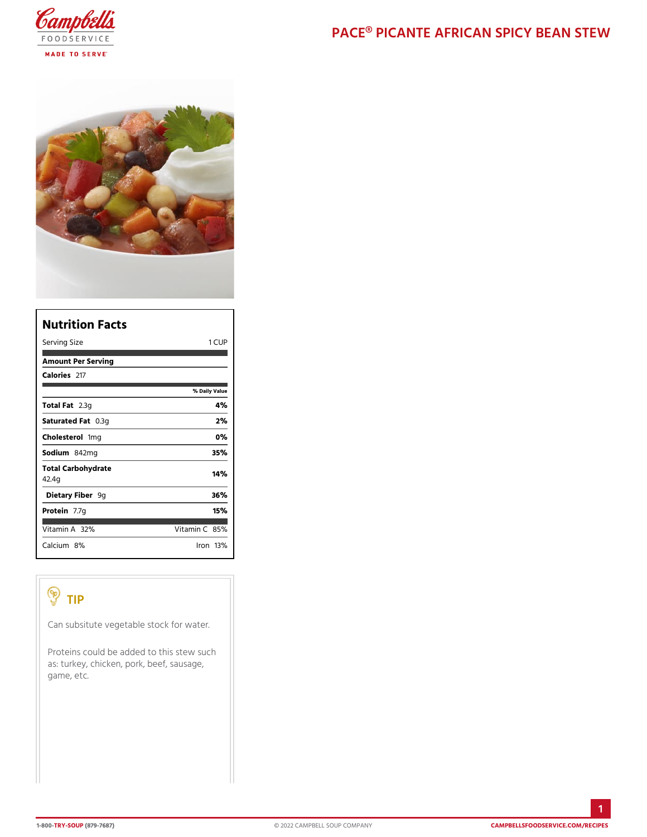| Nutrition Facts             |                |
|-----------------------------|----------------|
| Serving Size                | 1 CUP          |
| Amount Per Serving          |                |
| Calorie2s17                 |                |
|                             | % Daily Vallue |
| Total F2at3g                | 4 %            |
| Saturated 0F.38tg           | 2%             |
| Choleste fionig             | $0\%$          |
| Sodium&42mg                 | 35%            |
| Total Carbohydrate<br>42.4g | 14%            |
| Dietary F9iger              | 36%            |
| Protein.7g                  | 15%            |
| Vitamin3A2 %                | Vitamin86%     |
| Calciu&n%                   | lron 13 %      |

## TIP

Can subsitute vegetable stock for water.

Proteins could be added to this stew such as: turkey, chicken, pork, beef, sausage, game, etc.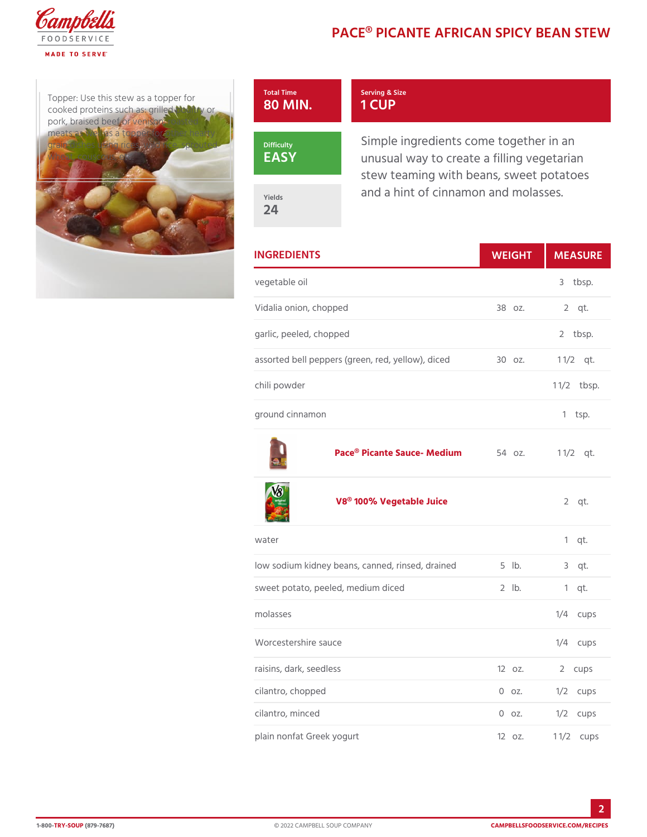## PACE® PICANTE AFRICAN SPIC

Topper: Use this stew as a top cooked proteins such as:  $g$ tille pork, braised beef or venison, meats as well as a topper for grain dishes using rices, wild Difficulty d wheat, couscous, etc.



Serving & Size 1 CUP

Simple ingredients come togeth unusual way to create a filling stew teaming with beans, sweet and a hint of cinnamon and mol

Yields 24

| <b>INGREDIENTS</b>                                       | WEIGH | MEASU                |
|----------------------------------------------------------|-------|----------------------|
| vegetable oil                                            |       | 3 tbsp.              |
| Vidalia onion, chopped                                   |       | 38 oz. 2 qt.         |
| garlic, peeled, chopped                                  |       | 2 tbsp.              |
| assorted bell peppers (green, red, y3e0lozw.), d1c&d2qt. |       |                      |
| chili powder                                             |       | $1 \frac{1}{2}$ bsp. |
| ground cinnamon                                          |       | 1 tsp.               |

[Pace® Picante Sau](https://www.campbellsfoodservice.com/product/pace-picante-sauce-medium-heat-ready-to-use-sauce)ce- M Fe4 iouzm 1 1/2 t.

[V8® 100% Veget](https://www.campbellsfoodservice.com/product/original-100-vegetable-juice)able Juice  $2$  qt.

| water                                                  |          | $1$ qt.                     |
|--------------------------------------------------------|----------|-----------------------------|
| low sodium kidney beans, canned, rifislebd, draBnegdt. |          |                             |
| sweet potato, peeled, medium diced 2 lb.               |          | $1$ qt.                     |
| molasses                                               |          | $1/4$ cups                  |
| Worcestershire sauce                                   |          | $1/4$ cups                  |
| raisins, dark, seedless                                | $120z$ . | 2 cups                      |
| cilantro, chopped                                      |          | $0$ $0$ $2$ . $1/2$ $c$ ups |
| cilantro, minced                                       |          | $0$ $0$ $2$ . $1/2$ cups    |
| plain nonfat Greek yogurt                              |          | 12 oz. 11/zups              |

2